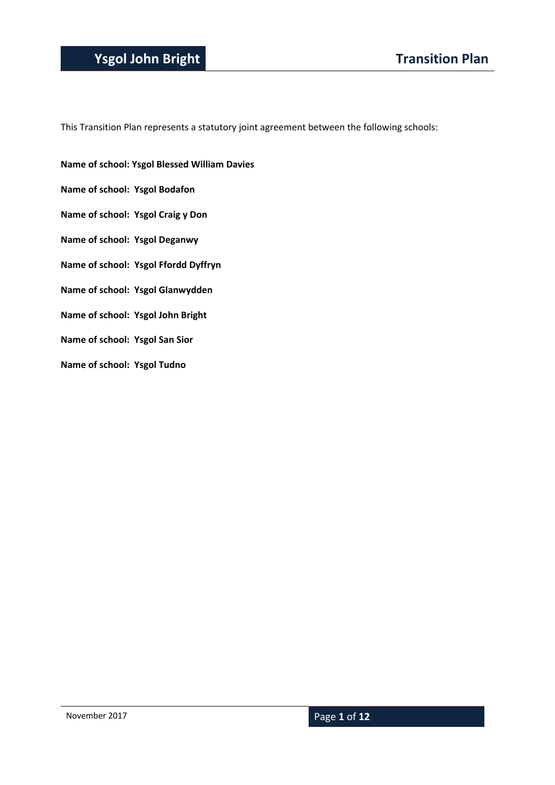### **Ysgol John Bright Transition Plan**

This Transition Plan represents a statutory joint agreement between the following schools:

- **Name of school: Ysgol Blessed William Davies**
- **Name of school: Ysgol Bodafon**
- **Name of school: Ysgol Craig y Don**
- **Name of school: Ysgol Deganwy**
- **Name of school: Ysgol Ffordd Dyffryn**
- **Name of school: Ysgol Glanwydden**
- **Name of school: Ysgol John Bright**
- **Name of school: Ysgol San Sior**
- **Name of school: Ysgol Tudno**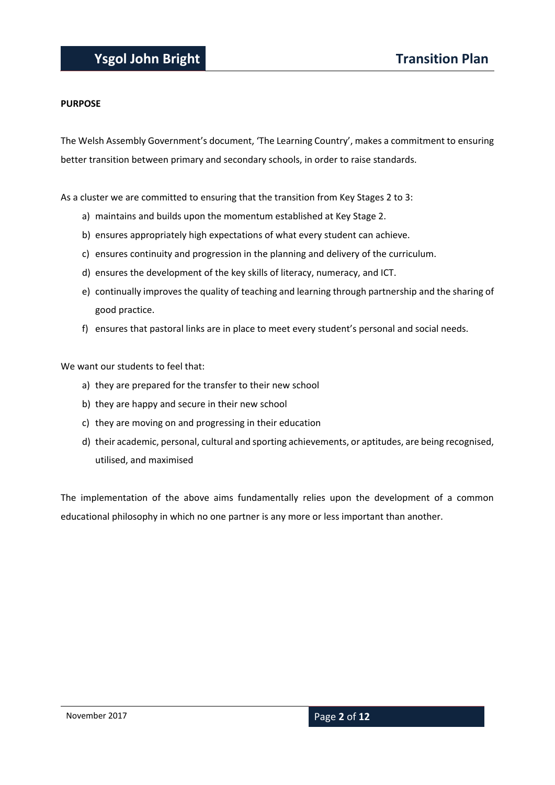#### **PURPOSE**

The Welsh Assembly Government's document, 'The Learning Country', makes a commitment to ensuring better transition between primary and secondary schools, in order to raise standards.

As a cluster we are committed to ensuring that the transition from Key Stages 2 to 3:

- a) maintains and builds upon the momentum established at Key Stage 2.
- b) ensures appropriately high expectations of what every student can achieve.
- c) ensures continuity and progression in the planning and delivery of the curriculum.
- d) ensures the development of the key skills of literacy, numeracy, and ICT.
- e) continually improves the quality of teaching and learning through partnership and the sharing of good practice.
- f) ensures that pastoral links are in place to meet every student's personal and social needs.

We want our students to feel that:

- a) they are prepared for the transfer to their new school
- b) they are happy and secure in their new school
- c) they are moving on and progressing in their education
- d) their academic, personal, cultural and sporting achievements, or aptitudes, are being recognised, utilised, and maximised

The implementation of the above aims fundamentally relies upon the development of a common educational philosophy in which no one partner is any more or less important than another.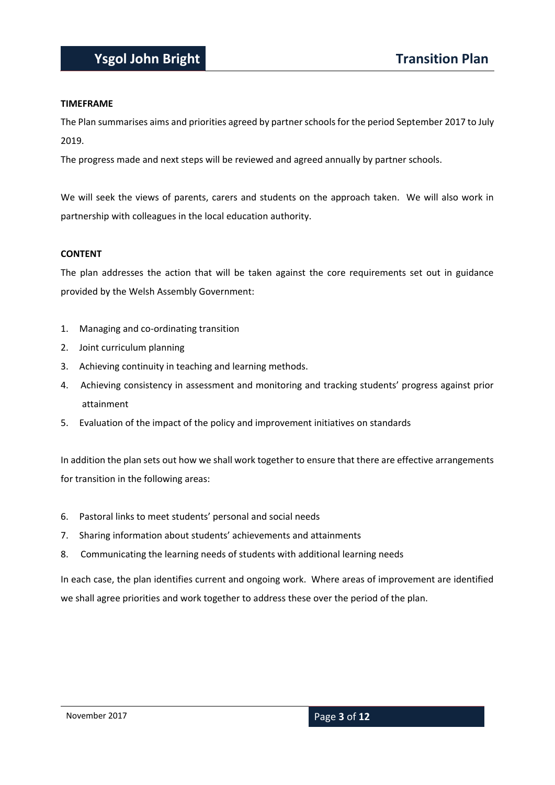#### **TIMEFRAME**

The Plan summarises aims and priorities agreed by partner schools for the period September 2017 to July 2019.

The progress made and next steps will be reviewed and agreed annually by partner schools.

We will seek the views of parents, carers and students on the approach taken. We will also work in partnership with colleagues in the local education authority.

#### **CONTENT**

The plan addresses the action that will be taken against the core requirements set out in guidance provided by the Welsh Assembly Government:

- 1. Managing and co-ordinating transition
- 2. Joint curriculum planning
- 3. Achieving continuity in teaching and learning methods.
- 4. Achieving consistency in assessment and monitoring and tracking students' progress against prior attainment
- 5. Evaluation of the impact of the policy and improvement initiatives on standards

In addition the plan sets out how we shall work together to ensure that there are effective arrangements for transition in the following areas:

- 6. Pastoral links to meet students' personal and social needs
- 7. Sharing information about students' achievements and attainments
- 8. Communicating the learning needs of students with additional learning needs

In each case, the plan identifies current and ongoing work. Where areas of improvement are identified we shall agree priorities and work together to address these over the period of the plan.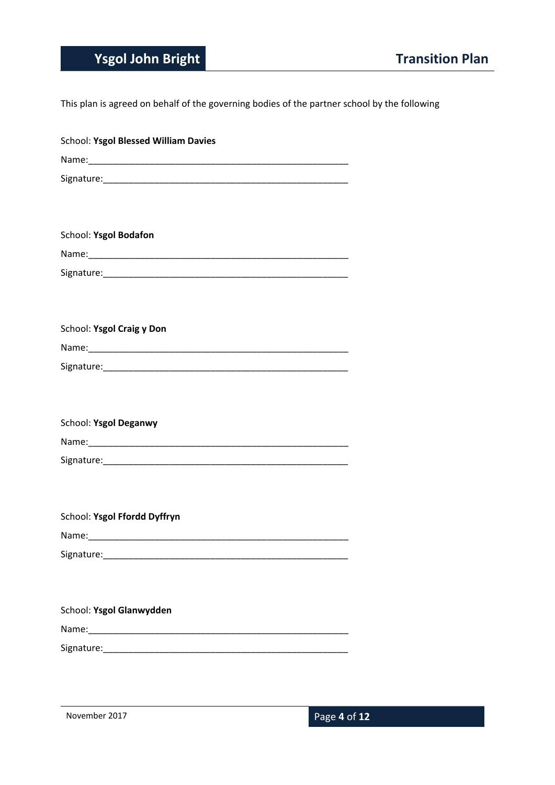## **Ysgol John Bright Transition Plan**

This plan is agreed on behalf of the governing bodies of the partner school by the following

| School: Ysgol Blessed William Davies |
|--------------------------------------|
|                                      |
|                                      |
|                                      |
|                                      |
| School: Ysgol Bodafon                |
|                                      |
|                                      |
|                                      |
|                                      |
| School: Ysgol Craig y Don            |
|                                      |
|                                      |
|                                      |
|                                      |
| School: Ysgol Deganwy                |
|                                      |
|                                      |
|                                      |
|                                      |
| School: Ysgol Ffordd Dyffryn         |
|                                      |
|                                      |
|                                      |
|                                      |
| School: Ysgol Glanwydden             |
|                                      |
|                                      |
|                                      |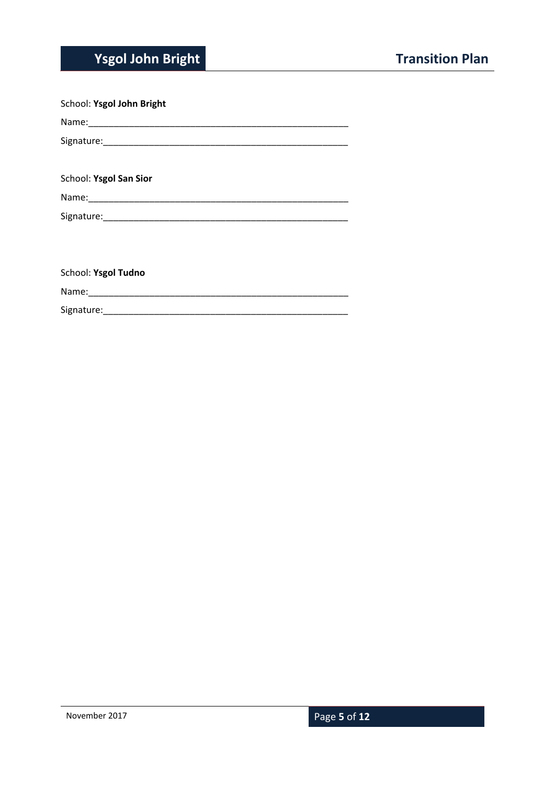# **Ysgol John Bright Transition Plan**

| School: Ysgol John Bright |
|---------------------------|
|                           |
|                           |
|                           |
| School: Ysgol San Sior    |
|                           |
|                           |
|                           |
|                           |
| School: Ysgol Tudno       |
|                           |
|                           |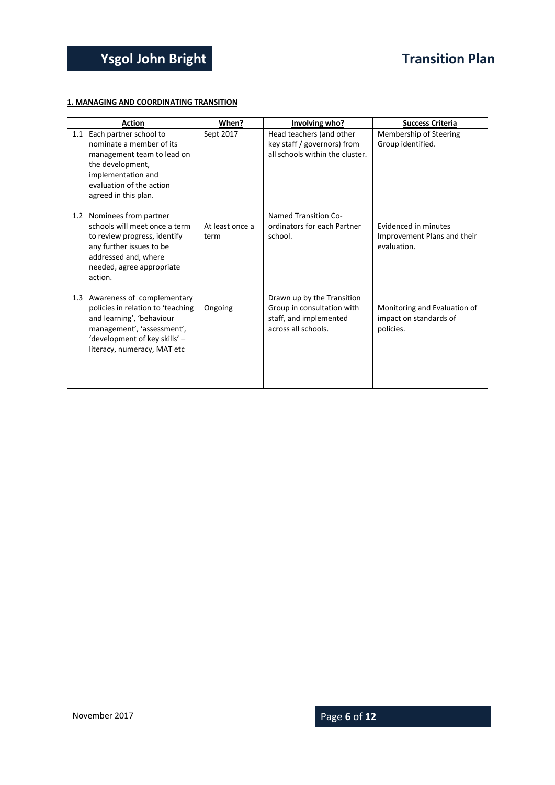#### **1. MANAGING AND COORDINATING TRANSITION**

|     | <b>Action</b>                                                                                                                                                                                  | When?                   | Involving who?                                                                                            | <b>Success Criteria</b>                                             |
|-----|------------------------------------------------------------------------------------------------------------------------------------------------------------------------------------------------|-------------------------|-----------------------------------------------------------------------------------------------------------|---------------------------------------------------------------------|
|     | 1.1 Each partner school to<br>nominate a member of its<br>management team to lead on<br>the development,<br>implementation and<br>evaluation of the action<br>agreed in this plan.             | Sept 2017               | Head teachers (and other<br>key staff / governors) from<br>all schools within the cluster.                | Membership of Steering<br>Group identified.                         |
| 1.2 | Nominees from partner<br>schools will meet once a term<br>to review progress, identify<br>any further issues to be<br>addressed and, where<br>needed, agree appropriate<br>action.             | At least once a<br>term | Named Transition Co-<br>ordinators for each Partner<br>school.                                            | Evidenced in minutes<br>Improvement Plans and their<br>evaluation.  |
|     | 1.3 Awareness of complementary<br>policies in relation to 'teaching<br>and learning', 'behaviour<br>management', 'assessment',<br>'development of key skills' -<br>literacy, numeracy, MAT etc | Ongoing                 | Drawn up by the Transition<br>Group in consultation with<br>staff, and implemented<br>across all schools. | Monitoring and Evaluation of<br>impact on standards of<br>policies. |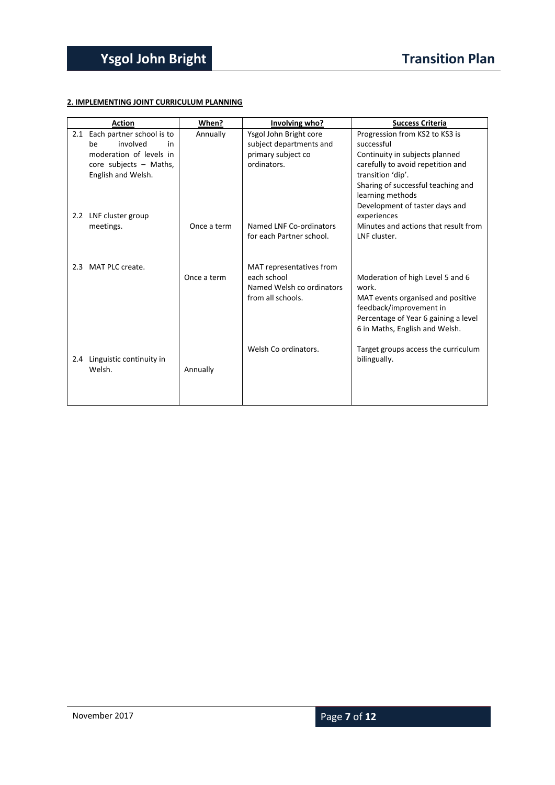#### **2. IMPLEMENTING JOINT CURRICULUM PLANNING**

|     | <b>Action</b>                 | When?       | Involving who?            | <b>Success Criteria</b>                       |
|-----|-------------------------------|-------------|---------------------------|-----------------------------------------------|
|     | 2.1 Each partner school is to | Annually    | Ysgol John Bright core    | Progression from KS2 to KS3 is                |
|     | involved<br>be<br>in          |             | subject departments and   | successful                                    |
|     | moderation of levels in       |             | primary subject co        | Continuity in subjects planned                |
|     | core subjects - Maths,        |             | ordinators.               | carefully to avoid repetition and             |
|     | English and Welsh.            |             |                           | transition 'dip'.                             |
|     |                               |             |                           | Sharing of successful teaching and            |
|     |                               |             |                           | learning methods                              |
|     | 2.2 LNF cluster group         |             |                           | Development of taster days and<br>experiences |
|     | meetings.                     | Once a term | Named LNF Co-ordinators   | Minutes and actions that result from          |
|     |                               |             | for each Partner school.  | LNF cluster.                                  |
|     |                               |             |                           |                                               |
|     | 2.3 MAT PLC create.           |             | MAT representatives from  |                                               |
|     |                               | Once a term | each school               | Moderation of high Level 5 and 6              |
|     |                               |             | Named Welsh co ordinators | work.                                         |
|     |                               |             | from all schools.         | MAT events organised and positive             |
|     |                               |             |                           | feedback/improvement in                       |
|     |                               |             |                           | Percentage of Year 6 gaining a level          |
|     |                               |             |                           | 6 in Maths, English and Welsh.                |
|     |                               |             |                           |                                               |
|     |                               |             | Welsh Co ordinators.      | Target groups access the curriculum           |
| 2.4 | Linguistic continuity in      |             |                           | bilingually.                                  |
|     | Welsh.                        | Annually    |                           |                                               |
|     |                               |             |                           |                                               |
|     |                               |             |                           |                                               |
|     |                               |             |                           |                                               |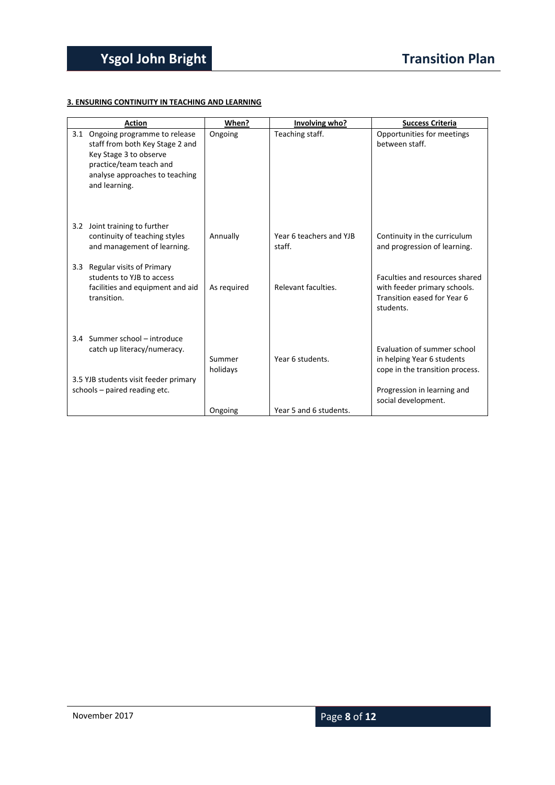#### **3. ENSURING CONTINUITY IN TEACHING AND LEARNING**

| <b>Action</b>                                                                                                                                                                  | When?              | Involving who?                    | <b>Success Criteria</b>                                                                                                                            |
|--------------------------------------------------------------------------------------------------------------------------------------------------------------------------------|--------------------|-----------------------------------|----------------------------------------------------------------------------------------------------------------------------------------------------|
| Ongoing programme to release<br>3.1<br>staff from both Key Stage 2 and<br>Key Stage 3 to observe<br>practice/team teach and<br>analyse approaches to teaching<br>and learning. | Ongoing            | Teaching staff.                   | Opportunities for meetings<br>between staff.                                                                                                       |
| 3.2 Joint training to further<br>continuity of teaching styles<br>and management of learning.                                                                                  | Annually           | Year 6 teachers and YJB<br>staff. | Continuity in the curriculum<br>and progression of learning.                                                                                       |
| Regular visits of Primary<br>3.3<br>students to YJB to access<br>facilities and equipment and aid<br>transition.                                                               | As required        | Relevant faculties.               | Faculties and resources shared<br>with feeder primary schools.<br>Transition eased for Year 6<br>students.                                         |
| 3.4 Summer school - introduce<br>catch up literacy/numeracy.<br>3.5 YJB students visit feeder primary<br>schools - paired reading etc.                                         | Summer<br>holidays | Year 6 students.                  | Evaluation of summer school<br>in helping Year 6 students<br>cope in the transition process.<br>Progression in learning and<br>social development. |
|                                                                                                                                                                                | Ongoing            | Year 5 and 6 students.            |                                                                                                                                                    |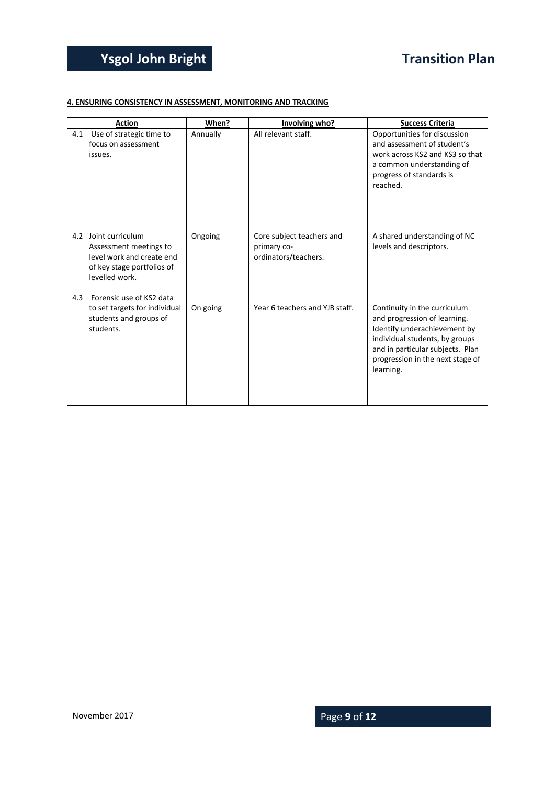#### **4. ENSURING CONSISTENCY IN ASSESSMENT, MONITORING AND TRACKING**

|     | <b>Action</b>                                                                                                           | When?    | Involving who?                                                   | <b>Success Criteria</b>                                                                                                                                                                                             |
|-----|-------------------------------------------------------------------------------------------------------------------------|----------|------------------------------------------------------------------|---------------------------------------------------------------------------------------------------------------------------------------------------------------------------------------------------------------------|
| 4.1 | Use of strategic time to<br>focus on assessment<br>issues.                                                              | Annually | All relevant staff.                                              | Opportunities for discussion<br>and assessment of student's<br>work across KS2 and KS3 so that<br>a common understanding of<br>progress of standards is<br>reached.                                                 |
| 4.2 | Joint curriculum<br>Assessment meetings to<br>level work and create end<br>of key stage portfolios of<br>levelled work. | Ongoing  | Core subject teachers and<br>primary co-<br>ordinators/teachers. | A shared understanding of NC<br>levels and descriptors.                                                                                                                                                             |
| 4.3 | Forensic use of KS2 data<br>to set targets for individual<br>students and groups of<br>students.                        | On going | Year 6 teachers and YJB staff.                                   | Continuity in the curriculum<br>and progression of learning.<br>Identify underachievement by<br>individual students, by groups<br>and in particular subjects. Plan<br>progression in the next stage of<br>learning. |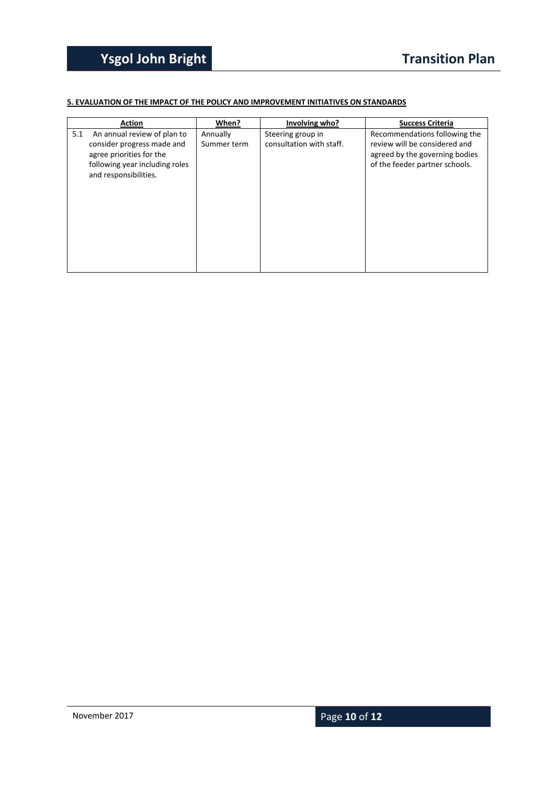#### **5. EVALUATION OF THE IMPACT OF THE POLICY AND IMPROVEMENT INITIATIVES ON STANDARDS**

|     | <b>Action</b>                                                                                                                                    | When?                   | Involving who?                                | <b>Success Criteria</b>                                                                                                            |
|-----|--------------------------------------------------------------------------------------------------------------------------------------------------|-------------------------|-----------------------------------------------|------------------------------------------------------------------------------------------------------------------------------------|
| 5.1 | An annual review of plan to<br>consider progress made and<br>agree priorities for the<br>following year including roles<br>and responsibilities. | Annually<br>Summer term | Steering group in<br>consultation with staff. | Recommendations following the<br>review will be considered and<br>agreed by the governing bodies<br>of the feeder partner schools. |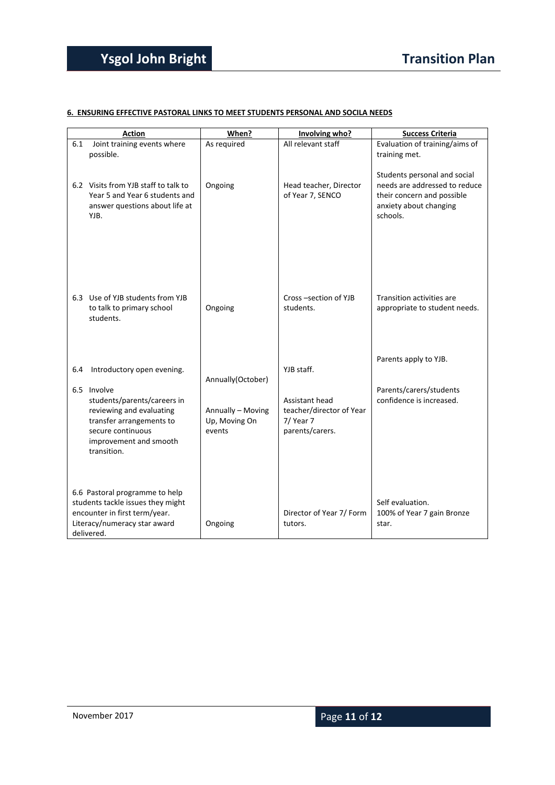#### **6. ENSURING EFFECTIVE PASTORAL LINKS TO MEET STUDENTS PERSONAL AND SOCILA NEEDS**

|     | <b>Action</b>                                                                                                                                                    | When?                                        | Involving who?                                                             | <b>Success Criteria</b>                                                                                                           |
|-----|------------------------------------------------------------------------------------------------------------------------------------------------------------------|----------------------------------------------|----------------------------------------------------------------------------|-----------------------------------------------------------------------------------------------------------------------------------|
| 6.1 | Joint training events where<br>possible.                                                                                                                         | As required                                  | All relevant staff                                                         | Evaluation of training/aims of<br>training met.                                                                                   |
|     | 6.2 Visits from YJB staff to talk to<br>Year 5 and Year 6 students and<br>answer questions about life at<br>YJB.                                                 | Ongoing                                      | Head teacher, Director<br>of Year 7, SENCO                                 | Students personal and social<br>needs are addressed to reduce<br>their concern and possible<br>anxiety about changing<br>schools. |
|     | 6.3 Use of YJB students from YJB<br>to talk to primary school<br>students.                                                                                       | Ongoing                                      | Cross-section of YJB<br>students.                                          | Transition activities are<br>appropriate to student needs.                                                                        |
| 6.4 | Introductory open evening.                                                                                                                                       | Annually(October)                            | YJB staff.                                                                 | Parents apply to YJB.                                                                                                             |
|     | 6.5 Involve<br>students/parents/careers in<br>reviewing and evaluating<br>transfer arrangements to<br>secure continuous<br>improvement and smooth<br>transition. | Annually - Moving<br>Up, Moving On<br>events | Assistant head<br>teacher/director of Year<br>7/ Year 7<br>parents/carers. | Parents/carers/students<br>confidence is increased.                                                                               |
|     | 6.6 Pastoral programme to help<br>students tackle issues they might<br>encounter in first term/year.<br>Literacy/numeracy star award<br>delivered.               | Ongoing                                      | Director of Year 7/ Form<br>tutors.                                        | Self evaluation.<br>100% of Year 7 gain Bronze<br>star.                                                                           |